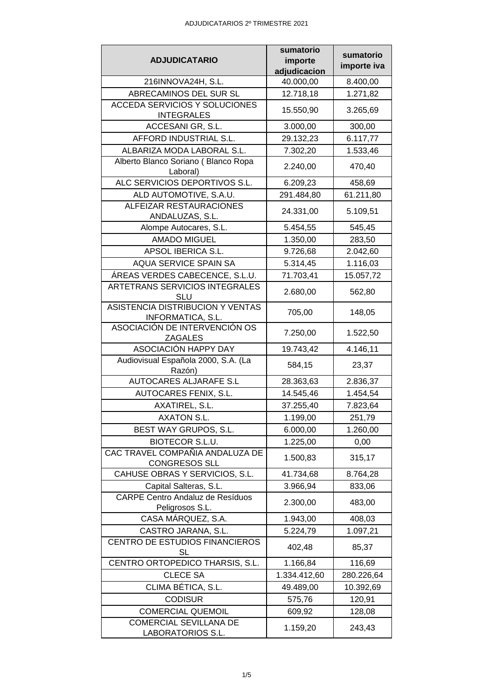|                                                            | sumatorio    | sumatorio   |
|------------------------------------------------------------|--------------|-------------|
| <b>ADJUDICATARIO</b>                                       | importe      | importe iva |
|                                                            | adjudicacion |             |
| 216INNOVA24H, S.L.                                         | 40.000,00    | 8.400,00    |
| ABRECAMINOS DEL SUR SL                                     | 12.718,18    | 1.271,82    |
| <b>ACCEDA SERVICIOS Y SOLUCIONES</b><br><b>INTEGRALES</b>  | 15.550,90    | 3.265,69    |
| ACCESANI GR, S.L.                                          | 3.000,00     | 300,00      |
| AFFORD INDUSTRIAL S.L.                                     | 29.132,23    | 6.117,77    |
| ALBARIZA MODA LABORAL S.L.                                 | 7.302,20     | 1.533,46    |
| Alberto Blanco Soriano (Blanco Ropa<br>Laboral)            | 2.240,00     | 470,40      |
| ALC SERVICIOS DEPORTIVOS S.L.                              | 6.209,23     | 458,69      |
| ALD AUTOMOTIVE, S.A.U.                                     | 291.484,80   | 61.211,80   |
| ALFEIZAR RESTAURACIONES                                    |              |             |
| ANDALUZAS, S.L.                                            | 24.331,00    | 5.109,51    |
| Alompe Autocares, S.L.                                     | 5.454,55     | 545,45      |
| <b>AMADO MIGUEL</b>                                        | 1.350,00     | 283,50      |
| APSOL IBERICA S.L.                                         | 9.726,68     | 2.042,60    |
| AQUA SERVICE SPAIN SA                                      | 5.314,45     | 1.116,03    |
| ÁREAS VERDES CABECENCE, S.L.U.                             | 71.703,41    | 15.057,72   |
| ARTETRANS SERVICIOS INTEGRALES<br><b>SLU</b>               | 2.680,00     | 562,80      |
| ASISTENCIA DISTRIBUCION Y VENTAS<br>INFORMATICA, S.L.      | 705,00       | 148,05      |
| ASOCIACIÓN DE INTERVENCIÓN OS<br><b>ZAGALES</b>            | 7.250,00     | 1.522,50    |
| ASOCIACIÓN HAPPY DAY                                       | 19.743,42    | 4.146,11    |
| Audiovisual Española 2000, S.A. (La                        |              |             |
| Razón)                                                     | 584,15       | 23,37       |
| <b>AUTOCARES ALJARAFE S.L</b>                              | 28.363,63    | 2.836,37    |
| AUTOCARES FENIX, S.L.                                      | 14.545,46    | 1.454,54    |
| AXATIREL, S.L.                                             | 37.255,40    | 7.823,64    |
| <b>AXATON S.L</b>                                          | 1.199,00     | 251,79      |
| BEST WAY GRUPOS, S.L.                                      | 6.000,00     | 1.260,00    |
| <b>BIOTECOR S.L.U.</b>                                     | 1.225,00     | 0,00        |
| CAC TRAVEL COMPAÑIA ANDALUZA DE<br><b>CONGRESOS SLL</b>    | 1.500,83     | 315,17      |
| CAHUSE OBRAS Y SERVICIOS, S.L.                             | 41.734,68    | 8.764,28    |
| Capital Salteras, S.L.                                     | 3.966,94     | 833,06      |
| <b>CARPE Centro Andaluz de Resíduos</b><br>Peligrosos S.L. | 2.300,00     | 483,00      |
| CASA MÁRQUEZ, S.A.                                         | 1.943,00     | 408,03      |
| CASTRO JARANA, S.L.                                        | 5.224,79     | 1.097,21    |
| CENTRO DE ESTUDIOS FINANCIEROS                             | 402,48       | 85,37       |
| <b>SL</b><br>CENTRO ORTOPEDICO THARSIS, S.L.               | 1.166,84     | 116,69      |
| <b>CLECE SA</b>                                            |              |             |
|                                                            | 1.334.412,60 | 280.226,64  |
| CLIMA BÉTICA, S.L.                                         | 49.489,00    | 10.392,69   |
| <b>CODISUR</b>                                             | 575,76       | 120,91      |
| <b>COMERCIAL QUEMOIL</b>                                   | 609,92       | 128,08      |
| COMERCIAL SEVILLANA DE<br>LABORATORIOS S.L.                | 1.159,20     | 243,43      |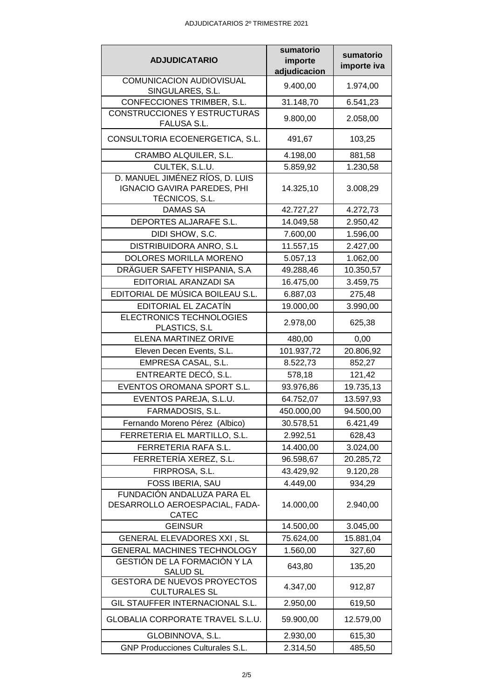|                                                                                  | sumatorio    | sumatorio   |
|----------------------------------------------------------------------------------|--------------|-------------|
| <b>ADJUDICATARIO</b>                                                             | importe      | importe iva |
|                                                                                  | adjudicacion |             |
| <b>COMUNICACION AUDIOVISUAL</b><br>SINGULARES, S.L.                              | 9.400,00     | 1.974,00    |
| CONFECCIONES TRIMBER, S.L.                                                       | 31.148,70    | 6.541,23    |
| CONSTRUCCIONES Y ESTRUCTURAS<br>FALUSA S.L.                                      | 9.800,00     | 2.058,00    |
| CONSULTORIA ECOENERGETICA, S.L.                                                  | 491,67       | 103,25      |
| CRAMBO ALQUILER, S.L.                                                            | 4.198,00     | 881,58      |
| CULTEK, S.L.U.                                                                   | 5.859,92     | 1.230,58    |
| D. MANUEL JIMÉNEZ RÍOS, D. LUIS<br>IGNACIO GAVIRA PAREDES, PHI<br>TÉCNICOS, S.L. | 14.325,10    | 3.008,29    |
| <b>DAMAS SA</b>                                                                  | 42.727,27    | 4.272,73    |
| DEPORTES ALJARAFE S.L.                                                           | 14.049,58    | 2.950,42    |
| DIDI SHOW, S.C.                                                                  | 7.600,00     | 1.596,00    |
| DISTRIBUIDORA ANRO, S.L                                                          | 11.557,15    | 2.427,00    |
| DOLORES MORILLA MORENO                                                           | 5.057,13     | 1.062,00    |
| DRÄGUER SAFETY HISPANIA, S.A.                                                    | 49.288,46    | 10.350,57   |
| <b>EDITORIAL ARANZADI SA</b>                                                     | 16.475,00    | 3.459,75    |
| EDITORIAL DE MÚSICA BOILEAU S.L.                                                 | 6.887,03     | 275,48      |
| EDITORIAL EL ZACATÍN                                                             | 19.000,00    | 3.990,00    |
| ELECTRONICS TECHNOLOGIES<br>PLASTICS, S.L.                                       | 2.978,00     | 625,38      |
| <b>ELENA MARTINEZ ORIVE</b>                                                      | 480,00       | 0,00        |
| Eleven Decen Events, S.L.                                                        | 101.937,72   | 20.806,92   |
| EMPRESA CASAL, S.L.                                                              | 8.522,73     | 852,27      |
| ENTREARTE DECÓ, S.L.                                                             | 578,18       | 121,42      |
| EVENTOS OROMANA SPORT S.L.                                                       | 93.976,86    | 19.735,13   |
| EVENTOS PAREJA, S.L.U.                                                           | 64.752,07    | 13.597,93   |
| FARMADOSIS, S.L.                                                                 | 450.000,00   | 94.500,00   |
| Fernando Moreno Pérez (Albico)                                                   | 30.578,51    | 6.421,49    |
| FERRETERIA EL MARTILLO, S.L.                                                     | 2.992,51     | 628,43      |
| FERRETERIA RAFA S.L.                                                             | 14.400,00    | 3.024,00    |
| FERRETERÍA XEREZ, S.L.                                                           | 96.598,67    | 20.285,72   |
| FIRPROSA, S.L.                                                                   | 43.429,92    | 9.120,28    |
| FOSS IBERIA, SAU                                                                 | 4.449,00     | 934,29      |
| FUNDACIÓN ANDALUZA PARA EL<br>DESARROLLO AEROESPACIAL, FADA-<br>CATEC            | 14.000,00    | 2.940,00    |
| <b>GEINSUR</b>                                                                   | 14.500,00    | 3.045,00    |
| GENERAL ELEVADORES XXI, SL                                                       | 75.624,00    | 15.881,04   |
| GENERAL MACHINES TECHNOLOGY                                                      | 1.560,00     | 327,60      |
| GESTIÓN DE LA FORMACIÓN Y LA<br><b>SALUD SL</b>                                  | 643,80       | 135,20      |
| <b>GESTORA DE NUEVOS PROYECTOS</b><br><b>CULTURALES SL</b>                       | 4.347,00     | 912,87      |
| GIL STAUFFER INTERNACIONAL S.L.                                                  | 2.950,00     | 619,50      |
| GLOBALIA CORPORATE TRAVEL S.L.U.                                                 | 59.900,00    | 12.579,00   |
| GLOBINNOVA, S.L.                                                                 | 2.930,00     | 615,30      |
| <b>GNP Producciones Culturales S.L.</b>                                          | 2.314,50     | 485,50      |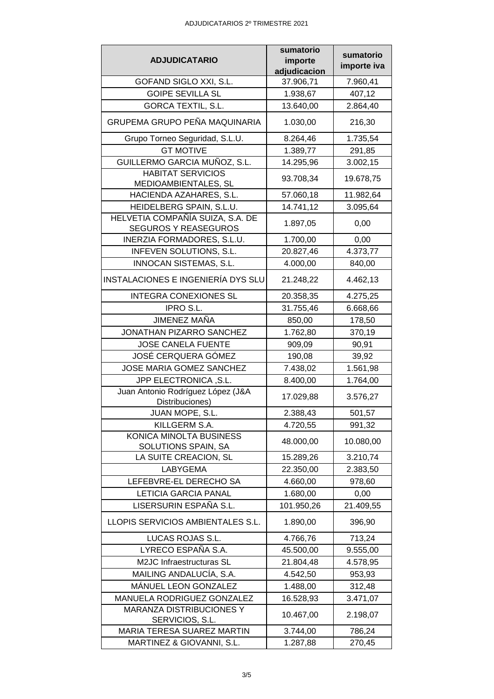|                                                      | sumatorio    | sumatorio   |
|------------------------------------------------------|--------------|-------------|
| <b>ADJUDICATARIO</b>                                 | importe      | importe iva |
|                                                      | adjudicacion |             |
| GOFAND SIGLO XXI, S.L.                               | 37.906,71    | 7.960,41    |
| <b>GOIPE SEVILLA SL</b>                              | 1.938,67     | 407,12      |
| <b>GORCA TEXTIL, S.L.</b>                            | 13.640,00    | 2.864,40    |
| GRUPEMA GRUPO PEÑA MAQUINARIA                        | 1.030,00     | 216,30      |
| Grupo Torneo Seguridad, S.L.U.                       | 8.264,46     | 1.735,54    |
| <b>GT MOTIVE</b>                                     | 1.389,77     | 291,85      |
| GUILLERMO GARCIA MUÑOZ, S.L.                         | 14.295,96    | 3.002,15    |
| <b>HABITAT SERVICIOS</b><br>MEDIOAMBIENTALES, SL     | 93.708,34    | 19.678,75   |
| HACIENDA AZAHARES, S.L.                              | 57.060,18    | 11.982,64   |
| HEIDELBERG SPAIN, S.L.U.                             | 14.741,12    | 3.095,64    |
| HELVETIA COMPAÑÍA SUIZA, S.A. DE                     |              |             |
| <b>SEGUROS Y REASEGUROS</b>                          | 1.897,05     | 0,00        |
| INERZIA FORMADORES, S.L.U.                           | 1.700,00     | 0,00        |
| INFEVEN SOLUTIONS, S.L.                              | 20.827,46    | 4.373,77    |
| INNOCAN SISTEMAS, S.L.                               | 4.000,00     | 840,00      |
| INSTALACIONES E INGENIERÍA DYS SLU                   | 21.248,22    | 4.462,13    |
| <b>INTEGRA CONEXIONES SL</b>                         | 20.358,35    | 4.275,25    |
| IPRO S.L.                                            | 31.755,46    | 6.668,66    |
| JIMENEZ MAÑA                                         | 850,00       | 178,50      |
| JONATHAN PIZARRO SANCHEZ                             | 1.762,80     | 370,19      |
| <b>JOSE CANELA FUENTE</b>                            | 909,09       | 90,91       |
| JOSÉ CERQUERA GÓMEZ                                  | 190,08       | 39,92       |
| JOSE MARIA GOMEZ SANCHEZ                             | 7.438,02     | 1.561,98    |
| JPP ELECTRONICA, S.L.                                | 8.400,00     | 1.764,00    |
| Juan Antonio Rodríguez López (J&A<br>Distribuciones) | 17.029,88    | 3.576,27    |
| JUAN MOPE, S.L.                                      | 2.388,43     | 501,57      |
| KILLGERM S.A.                                        | 4.720,55     | 991,32      |
| KONICA MINOLTA BUSINESS                              |              |             |
| SOLUTIONS SPAIN, SA                                  | 48.000,00    | 10.080,00   |
| LA SUITE CREACION, SL                                | 15.289,26    | 3.210,74    |
| LABYGEMA                                             | 22.350,00    | 2.383,50    |
| LEFEBVRE-EL DERECHO SA                               | 4.660,00     | 978,60      |
| <b>LETICIA GARCIA PANAL</b>                          | 1.680,00     | 0,00        |
| LISERSURIN ESPAÑA S.L.                               | 101.950,26   | 21.409,55   |
| LLOPIS SERVICIOS AMBIENTALES S.L.                    | 1.890,00     | 396,90      |
| LUCAS ROJAS S.L.                                     | 4.766,76     | 713,24      |
| LYRECO ESPAÑA S.A.                                   | 45.500,00    | 9.555,00    |
| M2JC Infraestructuras SL                             | 21.804,48    | 4.578,95    |
| MAILING ANDALUCÍA, S.A.                              | 4.542,50     | 953,93      |
| MÁNUEL LEON GONZALEZ                                 | 1.488,00     | 312,48      |
| MANUELA RODRIGUEZ GONZALEZ                           | 16.528,93    | 3.471,07    |
| MARANZA DISTRIBUCIONES Y<br>SERVICIOS, S.L.          | 10.467,00    | 2.198,07    |
| MARIA TERESA SUAREZ MARTIN                           | 3.744,00     | 786,24      |
| MARTINEZ & GIOVANNI, S.L.                            | 1.287,88     | 270,45      |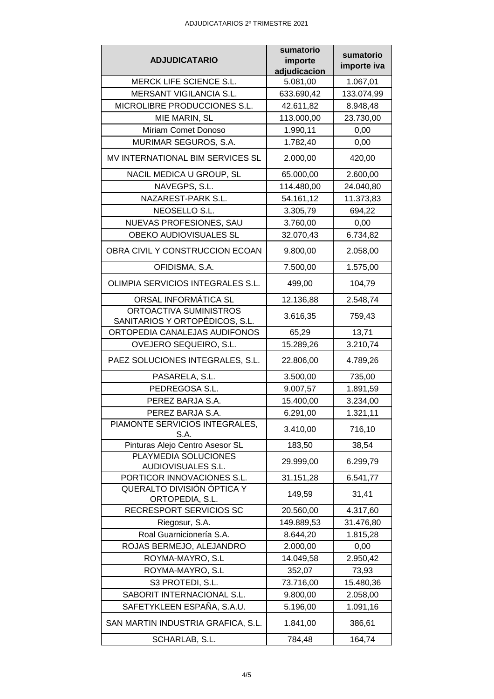| <b>ADJUDICATARIO</b><br>importe<br>importe iva<br>adjudicacion<br>MERCK LIFE SCIENCE S.L.<br>5.081,00<br>1.067,01<br><b>MERSANT VIGILANCIA S.L.</b><br>633.690,42<br>133.074,99<br>MICROLIBRE PRODUCCIONES S.L.<br>42.611,82<br>8.948,48<br>MIE MARIN, SL<br>113.000,00<br>23.730,00<br>Míriam Comet Donoso<br>1.990,11<br>0,00<br>MURIMAR SEGUROS, S.A.<br>1.782,40<br>0,00<br>MV INTERNATIONAL BIM SERVICES SL<br>2.000,00<br>420,00<br>NACIL MEDICA U GROUP, SL<br>65.000,00<br>2.600,00<br>NAVEGPS, S.L.<br>114.480,00<br>24.040,80<br>NAZAREST-PARK S.L.<br>54.161,12<br>11.373,83<br>NEOSELLO S.L.<br>3.305,79<br>694,22<br>NUEVAS PROFESIONES, SAU<br>3.760,00<br>0,00<br>OBEKO AUDIOVISUALES SL<br>32.070,43<br>6.734,82<br>OBRA CIVIL Y CONSTRUCCION ECOAN<br>9.800,00<br>2.058,00<br>OFIDISMA, S.A.<br>7.500,00<br>1.575,00<br>OLIMPIA SERVICIOS INTEGRALES S.L.<br>104,79<br>499,00<br>ORSAL INFORMÁTICA SL<br>12.136,88<br>2.548,74<br>ORTOACTIVA SUMINISTROS<br>3.616,35<br>759,43<br>SANITARIOS Y ORTOPÉDICOS, S.L.<br>ORTOPEDIA CANALEJAS AUDIFONOS<br>65,29<br>13,71<br>OVEJERO SEQUEIRO, S.L.<br>15.289,26<br>3.210,74<br>PAEZ SOLUCIONES INTEGRALES, S.L.<br>4.789,26<br>22.806,00<br>PASARELA, S.L.<br>3.500,00<br>735,00<br>PEDREGOSA S.L.<br>9.007,57<br>1.891,59<br>PEREZ BARJA S.A.<br>15.400,00<br>3.234,00<br>6.291,00<br>PEREZ BARJA S.A.<br>1.321,11<br>PIAMONTE SERVICIOS INTEGRALES,<br>3.410,00<br>716,10<br>S.A.<br>Pinturas Alejo Centro Asesor SL<br>38,54<br>183,50<br>PLAYMEDIA SOLUCIONES<br>6.299,79<br>29.999,00<br><b>AUDIOVISUALES S.L.</b><br>PORTICOR INNOVACIONES S.L.<br>31.151,28<br>6.541,77<br>QUERALTO DIVISIÓN ÓPTICA Y<br>149,59<br>31,41<br>ORTOPEDIA, S.L.<br>RECRESPORT SERVICIOS SC<br>20.560,00<br>4.317,60<br>Riegosur, S.A.<br>149.889,53<br>31.476,80<br>Roal Guarnicionería S.A.<br>8.644,20<br>1.815,28<br>ROJAS BERMEJO, ALEJANDRO<br>2.000,00<br>0,00<br>ROYMA-MAYRO, S.L<br>14.049,58<br>2.950,42<br>ROYMA-MAYRO, S.L<br>352,07<br>73,93<br>S3 PROTEDI, S.L.<br>73.716,00<br>15.480,36<br>SABORIT INTERNACIONAL S.L.<br>9.800,00<br>2.058,00<br>SAFETYKLEEN ESPAÑA, S.A.U.<br>1.091,16<br>5.196,00<br>SAN MARTIN INDUSTRIA GRAFICA, S.L.<br>1.841,00<br>386,61<br>SCHARLAB, S.L.<br>784,48<br>164,74 | sumatorio | sumatorio |
|---------------------------------------------------------------------------------------------------------------------------------------------------------------------------------------------------------------------------------------------------------------------------------------------------------------------------------------------------------------------------------------------------------------------------------------------------------------------------------------------------------------------------------------------------------------------------------------------------------------------------------------------------------------------------------------------------------------------------------------------------------------------------------------------------------------------------------------------------------------------------------------------------------------------------------------------------------------------------------------------------------------------------------------------------------------------------------------------------------------------------------------------------------------------------------------------------------------------------------------------------------------------------------------------------------------------------------------------------------------------------------------------------------------------------------------------------------------------------------------------------------------------------------------------------------------------------------------------------------------------------------------------------------------------------------------------------------------------------------------------------------------------------------------------------------------------------------------------------------------------------------------------------------------------------------------------------------------------------------------------------------------------------------------------------------------------------------------------------------------------------------------------------------------------------------------------------------------------------------------------------------------------|-----------|-----------|
|                                                                                                                                                                                                                                                                                                                                                                                                                                                                                                                                                                                                                                                                                                                                                                                                                                                                                                                                                                                                                                                                                                                                                                                                                                                                                                                                                                                                                                                                                                                                                                                                                                                                                                                                                                                                                                                                                                                                                                                                                                                                                                                                                                                                                                                                     |           |           |
|                                                                                                                                                                                                                                                                                                                                                                                                                                                                                                                                                                                                                                                                                                                                                                                                                                                                                                                                                                                                                                                                                                                                                                                                                                                                                                                                                                                                                                                                                                                                                                                                                                                                                                                                                                                                                                                                                                                                                                                                                                                                                                                                                                                                                                                                     |           |           |
|                                                                                                                                                                                                                                                                                                                                                                                                                                                                                                                                                                                                                                                                                                                                                                                                                                                                                                                                                                                                                                                                                                                                                                                                                                                                                                                                                                                                                                                                                                                                                                                                                                                                                                                                                                                                                                                                                                                                                                                                                                                                                                                                                                                                                                                                     |           |           |
|                                                                                                                                                                                                                                                                                                                                                                                                                                                                                                                                                                                                                                                                                                                                                                                                                                                                                                                                                                                                                                                                                                                                                                                                                                                                                                                                                                                                                                                                                                                                                                                                                                                                                                                                                                                                                                                                                                                                                                                                                                                                                                                                                                                                                                                                     |           |           |
|                                                                                                                                                                                                                                                                                                                                                                                                                                                                                                                                                                                                                                                                                                                                                                                                                                                                                                                                                                                                                                                                                                                                                                                                                                                                                                                                                                                                                                                                                                                                                                                                                                                                                                                                                                                                                                                                                                                                                                                                                                                                                                                                                                                                                                                                     |           |           |
|                                                                                                                                                                                                                                                                                                                                                                                                                                                                                                                                                                                                                                                                                                                                                                                                                                                                                                                                                                                                                                                                                                                                                                                                                                                                                                                                                                                                                                                                                                                                                                                                                                                                                                                                                                                                                                                                                                                                                                                                                                                                                                                                                                                                                                                                     |           |           |
|                                                                                                                                                                                                                                                                                                                                                                                                                                                                                                                                                                                                                                                                                                                                                                                                                                                                                                                                                                                                                                                                                                                                                                                                                                                                                                                                                                                                                                                                                                                                                                                                                                                                                                                                                                                                                                                                                                                                                                                                                                                                                                                                                                                                                                                                     |           |           |
|                                                                                                                                                                                                                                                                                                                                                                                                                                                                                                                                                                                                                                                                                                                                                                                                                                                                                                                                                                                                                                                                                                                                                                                                                                                                                                                                                                                                                                                                                                                                                                                                                                                                                                                                                                                                                                                                                                                                                                                                                                                                                                                                                                                                                                                                     |           |           |
|                                                                                                                                                                                                                                                                                                                                                                                                                                                                                                                                                                                                                                                                                                                                                                                                                                                                                                                                                                                                                                                                                                                                                                                                                                                                                                                                                                                                                                                                                                                                                                                                                                                                                                                                                                                                                                                                                                                                                                                                                                                                                                                                                                                                                                                                     |           |           |
|                                                                                                                                                                                                                                                                                                                                                                                                                                                                                                                                                                                                                                                                                                                                                                                                                                                                                                                                                                                                                                                                                                                                                                                                                                                                                                                                                                                                                                                                                                                                                                                                                                                                                                                                                                                                                                                                                                                                                                                                                                                                                                                                                                                                                                                                     |           |           |
|                                                                                                                                                                                                                                                                                                                                                                                                                                                                                                                                                                                                                                                                                                                                                                                                                                                                                                                                                                                                                                                                                                                                                                                                                                                                                                                                                                                                                                                                                                                                                                                                                                                                                                                                                                                                                                                                                                                                                                                                                                                                                                                                                                                                                                                                     |           |           |
|                                                                                                                                                                                                                                                                                                                                                                                                                                                                                                                                                                                                                                                                                                                                                                                                                                                                                                                                                                                                                                                                                                                                                                                                                                                                                                                                                                                                                                                                                                                                                                                                                                                                                                                                                                                                                                                                                                                                                                                                                                                                                                                                                                                                                                                                     |           |           |
|                                                                                                                                                                                                                                                                                                                                                                                                                                                                                                                                                                                                                                                                                                                                                                                                                                                                                                                                                                                                                                                                                                                                                                                                                                                                                                                                                                                                                                                                                                                                                                                                                                                                                                                                                                                                                                                                                                                                                                                                                                                                                                                                                                                                                                                                     |           |           |
|                                                                                                                                                                                                                                                                                                                                                                                                                                                                                                                                                                                                                                                                                                                                                                                                                                                                                                                                                                                                                                                                                                                                                                                                                                                                                                                                                                                                                                                                                                                                                                                                                                                                                                                                                                                                                                                                                                                                                                                                                                                                                                                                                                                                                                                                     |           |           |
|                                                                                                                                                                                                                                                                                                                                                                                                                                                                                                                                                                                                                                                                                                                                                                                                                                                                                                                                                                                                                                                                                                                                                                                                                                                                                                                                                                                                                                                                                                                                                                                                                                                                                                                                                                                                                                                                                                                                                                                                                                                                                                                                                                                                                                                                     |           |           |
|                                                                                                                                                                                                                                                                                                                                                                                                                                                                                                                                                                                                                                                                                                                                                                                                                                                                                                                                                                                                                                                                                                                                                                                                                                                                                                                                                                                                                                                                                                                                                                                                                                                                                                                                                                                                                                                                                                                                                                                                                                                                                                                                                                                                                                                                     |           |           |
|                                                                                                                                                                                                                                                                                                                                                                                                                                                                                                                                                                                                                                                                                                                                                                                                                                                                                                                                                                                                                                                                                                                                                                                                                                                                                                                                                                                                                                                                                                                                                                                                                                                                                                                                                                                                                                                                                                                                                                                                                                                                                                                                                                                                                                                                     |           |           |
|                                                                                                                                                                                                                                                                                                                                                                                                                                                                                                                                                                                                                                                                                                                                                                                                                                                                                                                                                                                                                                                                                                                                                                                                                                                                                                                                                                                                                                                                                                                                                                                                                                                                                                                                                                                                                                                                                                                                                                                                                                                                                                                                                                                                                                                                     |           |           |
|                                                                                                                                                                                                                                                                                                                                                                                                                                                                                                                                                                                                                                                                                                                                                                                                                                                                                                                                                                                                                                                                                                                                                                                                                                                                                                                                                                                                                                                                                                                                                                                                                                                                                                                                                                                                                                                                                                                                                                                                                                                                                                                                                                                                                                                                     |           |           |
|                                                                                                                                                                                                                                                                                                                                                                                                                                                                                                                                                                                                                                                                                                                                                                                                                                                                                                                                                                                                                                                                                                                                                                                                                                                                                                                                                                                                                                                                                                                                                                                                                                                                                                                                                                                                                                                                                                                                                                                                                                                                                                                                                                                                                                                                     |           |           |
|                                                                                                                                                                                                                                                                                                                                                                                                                                                                                                                                                                                                                                                                                                                                                                                                                                                                                                                                                                                                                                                                                                                                                                                                                                                                                                                                                                                                                                                                                                                                                                                                                                                                                                                                                                                                                                                                                                                                                                                                                                                                                                                                                                                                                                                                     |           |           |
|                                                                                                                                                                                                                                                                                                                                                                                                                                                                                                                                                                                                                                                                                                                                                                                                                                                                                                                                                                                                                                                                                                                                                                                                                                                                                                                                                                                                                                                                                                                                                                                                                                                                                                                                                                                                                                                                                                                                                                                                                                                                                                                                                                                                                                                                     |           |           |
|                                                                                                                                                                                                                                                                                                                                                                                                                                                                                                                                                                                                                                                                                                                                                                                                                                                                                                                                                                                                                                                                                                                                                                                                                                                                                                                                                                                                                                                                                                                                                                                                                                                                                                                                                                                                                                                                                                                                                                                                                                                                                                                                                                                                                                                                     |           |           |
|                                                                                                                                                                                                                                                                                                                                                                                                                                                                                                                                                                                                                                                                                                                                                                                                                                                                                                                                                                                                                                                                                                                                                                                                                                                                                                                                                                                                                                                                                                                                                                                                                                                                                                                                                                                                                                                                                                                                                                                                                                                                                                                                                                                                                                                                     |           |           |
|                                                                                                                                                                                                                                                                                                                                                                                                                                                                                                                                                                                                                                                                                                                                                                                                                                                                                                                                                                                                                                                                                                                                                                                                                                                                                                                                                                                                                                                                                                                                                                                                                                                                                                                                                                                                                                                                                                                                                                                                                                                                                                                                                                                                                                                                     |           |           |
|                                                                                                                                                                                                                                                                                                                                                                                                                                                                                                                                                                                                                                                                                                                                                                                                                                                                                                                                                                                                                                                                                                                                                                                                                                                                                                                                                                                                                                                                                                                                                                                                                                                                                                                                                                                                                                                                                                                                                                                                                                                                                                                                                                                                                                                                     |           |           |
|                                                                                                                                                                                                                                                                                                                                                                                                                                                                                                                                                                                                                                                                                                                                                                                                                                                                                                                                                                                                                                                                                                                                                                                                                                                                                                                                                                                                                                                                                                                                                                                                                                                                                                                                                                                                                                                                                                                                                                                                                                                                                                                                                                                                                                                                     |           |           |
|                                                                                                                                                                                                                                                                                                                                                                                                                                                                                                                                                                                                                                                                                                                                                                                                                                                                                                                                                                                                                                                                                                                                                                                                                                                                                                                                                                                                                                                                                                                                                                                                                                                                                                                                                                                                                                                                                                                                                                                                                                                                                                                                                                                                                                                                     |           |           |
|                                                                                                                                                                                                                                                                                                                                                                                                                                                                                                                                                                                                                                                                                                                                                                                                                                                                                                                                                                                                                                                                                                                                                                                                                                                                                                                                                                                                                                                                                                                                                                                                                                                                                                                                                                                                                                                                                                                                                                                                                                                                                                                                                                                                                                                                     |           |           |
|                                                                                                                                                                                                                                                                                                                                                                                                                                                                                                                                                                                                                                                                                                                                                                                                                                                                                                                                                                                                                                                                                                                                                                                                                                                                                                                                                                                                                                                                                                                                                                                                                                                                                                                                                                                                                                                                                                                                                                                                                                                                                                                                                                                                                                                                     |           |           |
|                                                                                                                                                                                                                                                                                                                                                                                                                                                                                                                                                                                                                                                                                                                                                                                                                                                                                                                                                                                                                                                                                                                                                                                                                                                                                                                                                                                                                                                                                                                                                                                                                                                                                                                                                                                                                                                                                                                                                                                                                                                                                                                                                                                                                                                                     |           |           |
|                                                                                                                                                                                                                                                                                                                                                                                                                                                                                                                                                                                                                                                                                                                                                                                                                                                                                                                                                                                                                                                                                                                                                                                                                                                                                                                                                                                                                                                                                                                                                                                                                                                                                                                                                                                                                                                                                                                                                                                                                                                                                                                                                                                                                                                                     |           |           |
|                                                                                                                                                                                                                                                                                                                                                                                                                                                                                                                                                                                                                                                                                                                                                                                                                                                                                                                                                                                                                                                                                                                                                                                                                                                                                                                                                                                                                                                                                                                                                                                                                                                                                                                                                                                                                                                                                                                                                                                                                                                                                                                                                                                                                                                                     |           |           |
|                                                                                                                                                                                                                                                                                                                                                                                                                                                                                                                                                                                                                                                                                                                                                                                                                                                                                                                                                                                                                                                                                                                                                                                                                                                                                                                                                                                                                                                                                                                                                                                                                                                                                                                                                                                                                                                                                                                                                                                                                                                                                                                                                                                                                                                                     |           |           |
|                                                                                                                                                                                                                                                                                                                                                                                                                                                                                                                                                                                                                                                                                                                                                                                                                                                                                                                                                                                                                                                                                                                                                                                                                                                                                                                                                                                                                                                                                                                                                                                                                                                                                                                                                                                                                                                                                                                                                                                                                                                                                                                                                                                                                                                                     |           |           |
|                                                                                                                                                                                                                                                                                                                                                                                                                                                                                                                                                                                                                                                                                                                                                                                                                                                                                                                                                                                                                                                                                                                                                                                                                                                                                                                                                                                                                                                                                                                                                                                                                                                                                                                                                                                                                                                                                                                                                                                                                                                                                                                                                                                                                                                                     |           |           |
|                                                                                                                                                                                                                                                                                                                                                                                                                                                                                                                                                                                                                                                                                                                                                                                                                                                                                                                                                                                                                                                                                                                                                                                                                                                                                                                                                                                                                                                                                                                                                                                                                                                                                                                                                                                                                                                                                                                                                                                                                                                                                                                                                                                                                                                                     |           |           |
|                                                                                                                                                                                                                                                                                                                                                                                                                                                                                                                                                                                                                                                                                                                                                                                                                                                                                                                                                                                                                                                                                                                                                                                                                                                                                                                                                                                                                                                                                                                                                                                                                                                                                                                                                                                                                                                                                                                                                                                                                                                                                                                                                                                                                                                                     |           |           |
|                                                                                                                                                                                                                                                                                                                                                                                                                                                                                                                                                                                                                                                                                                                                                                                                                                                                                                                                                                                                                                                                                                                                                                                                                                                                                                                                                                                                                                                                                                                                                                                                                                                                                                                                                                                                                                                                                                                                                                                                                                                                                                                                                                                                                                                                     |           |           |
|                                                                                                                                                                                                                                                                                                                                                                                                                                                                                                                                                                                                                                                                                                                                                                                                                                                                                                                                                                                                                                                                                                                                                                                                                                                                                                                                                                                                                                                                                                                                                                                                                                                                                                                                                                                                                                                                                                                                                                                                                                                                                                                                                                                                                                                                     |           |           |
|                                                                                                                                                                                                                                                                                                                                                                                                                                                                                                                                                                                                                                                                                                                                                                                                                                                                                                                                                                                                                                                                                                                                                                                                                                                                                                                                                                                                                                                                                                                                                                                                                                                                                                                                                                                                                                                                                                                                                                                                                                                                                                                                                                                                                                                                     |           |           |
|                                                                                                                                                                                                                                                                                                                                                                                                                                                                                                                                                                                                                                                                                                                                                                                                                                                                                                                                                                                                                                                                                                                                                                                                                                                                                                                                                                                                                                                                                                                                                                                                                                                                                                                                                                                                                                                                                                                                                                                                                                                                                                                                                                                                                                                                     |           |           |
|                                                                                                                                                                                                                                                                                                                                                                                                                                                                                                                                                                                                                                                                                                                                                                                                                                                                                                                                                                                                                                                                                                                                                                                                                                                                                                                                                                                                                                                                                                                                                                                                                                                                                                                                                                                                                                                                                                                                                                                                                                                                                                                                                                                                                                                                     |           |           |